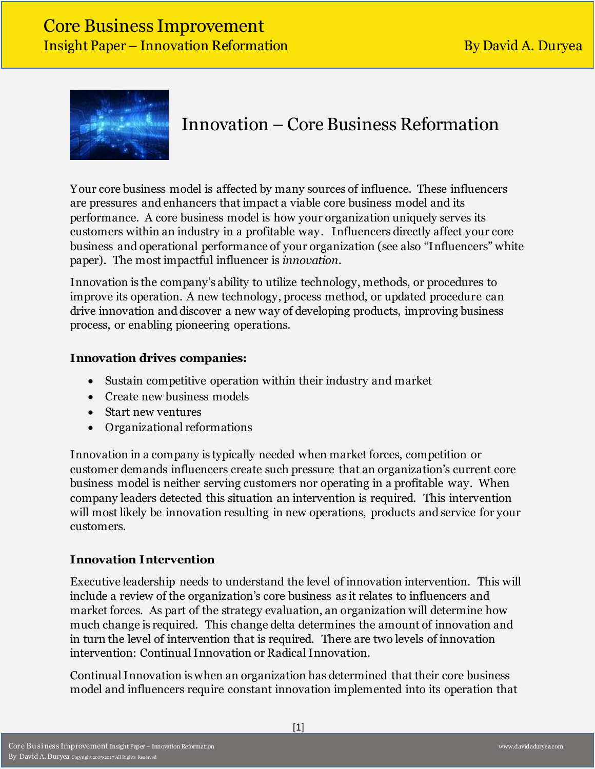

# Innovation – Core Business Reformation

Your core business model is affected by many sources of influence. These influencers are pressures and enhancers that impact a viable core business model and its performance. A core business model is how your organization uniquely serves its customers within an industry in a profitable way. Influencers directly affect your core business and operational performance of your organization (see also "Influencers" white paper). The most impactful influencer is *innovation*.

Innovation is the company's ability to utilize technology, methods, or procedures to improve its operation. A new technology, process method, or updated procedure can drive innovation and discover a new way of developing products, improving business process, or enabling pioneering operations.

### **Innovation drives companies:**

- Sustain competitive operation within their industry and market
- Create new business models
- Start new ventures
- Organizational reformations

Innovation in a company is typically needed when market forces, competition or customer demands influencers create such pressure that an organization's current core business model is neither serving customers nor operating in a profitable way. When company leaders detected this situation an intervention is required. This intervention will most likely be innovation resulting in new operations, products and service for your customers.

#### **Innovation Intervention**

Executive leadership needs to understand the level of innovation intervention. This will include a review of the organization's core business as it relates to influencers and market forces. As part of the strategy evaluation, an organization will determine how much change is required. This change delta determines the amount of innovation and in turn the level of intervention that is required. There are two levels of innovation intervention: Continual Innovation or Radical Innovation.

Continual Innovation is when an organization has determined that their core business model and influencers require constant innovation implemented into its operation that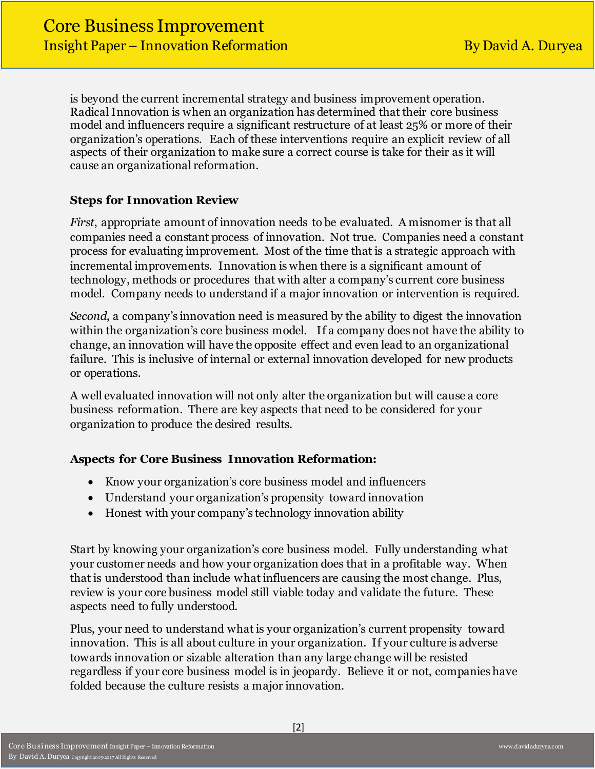is beyond the current incremental strategy and business improvement operation. Radical Innovation is when an organization has determined that their core business model and influencers require a significant restructure of at least 25% or more of their organization's operations. Each of these interventions require an explicit review of all aspects of their organization to make sure a correct course is take for their as it will cause an organizational reformation.

# **Steps for Innovation Review**

*First*, appropriate amount of innovation needs to be evaluated. A misnomer is that all companies need a constant process of innovation. Not true. Companies need a constant process for evaluating improvement. Most of the time that is a strategic approach with incremental improvements. Innovation is when there is a significant amount of technology, methods or procedures that with alter a company's current core business model. Company needs to understand if a major innovation or intervention is required.

*Second*, a company's innovation need is measured by the ability to digest the innovation within the organization's core business model. If a company does not have the ability to change, an innovation will have the opposite effect and even lead to an organizational failure. This is inclusive of internal or external innovation developed for new products or operations.

A well evaluated innovation will not only alter the organization but will cause a core business reformation. There are key aspects that need to be considered for your organization to produce the desired results.

#### **Aspects for Core Business Innovation Reformation:**

- Know your organization's core business model and influencers
- Understand your organization's propensity toward innovation
- Honest with your company's technology innovation ability

Start by knowing your organization's core business model. Fully understanding what your customer needs and how your organization does that in a profitable way. When that is understood than include what influencers are causing the most change. Plus, review is your core business model still viable today and validate the future. These aspects need to fully understood.

Plus, your need to understand what is your organization's current propensity toward innovation. This is all about culture in your organization. If your culture is adverse towards innovation or sizable alteration than any large change will be resisted regardless if your core business model is in jeopardy. Believe it or not, companies have folded because the culture resists a major innovation.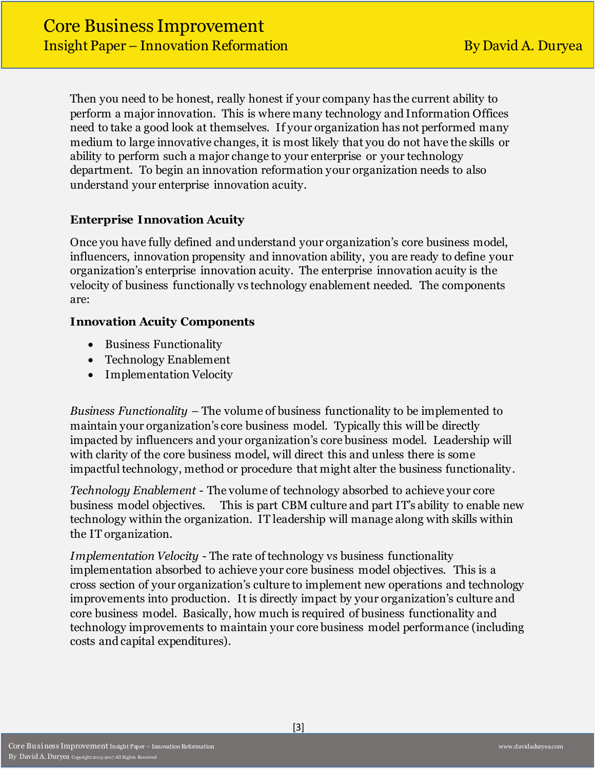Then you need to be honest, really honest if your company has the current ability to perform a major innovation. This is where many technology and Information Offices need to take a good look at themselves. If your organization has not performed many medium to large innovative changes, it is most likely that you do not have the skills or ability to perform such a major change to your enterprise or your technology department. To begin an innovation reformation your organization needs to also understand your enterprise innovation acuity.

### **Enterprise Innovation Acuity**

Once you have fully defined and understand your organization's core business model, influencers, innovation propensity and innovation ability, you are ready to define your organization's enterprise innovation acuity. The enterprise innovation acuity is the velocity of business functionally vs technology enablement needed. The components are:

#### **Innovation Acuity Components**

- Business Functionality
- Technology Enablement
- Implementation Velocity

*Business Functionality* – The volume of business functionality to be implemented to maintain your organization's core business model. Typically this will be directly impacted by influencers and your organization's core business model. Leadership will with clarity of the core business model, will direct this and unless there is some impactful technology, method or procedure that might alter the business functionality.

*Technology Enablement* - The volume of technology absorbed to achieve your core business model objectives. This is part CBM culture and part IT's ability to enable new technology within the organization. IT leadership will manage along with skills within the IT organization.

*Implementation Velocity* - The rate of technology vs business functionality implementation absorbed to achieve your core business model objectives. This is a cross section of your organization's culture to implement new operations and technology improvements into production. It is directly impact by your organization's culture and core business model. Basically, how much is required of business functionality and technology improvements to maintain your core business model performance (including costs and capital expenditures).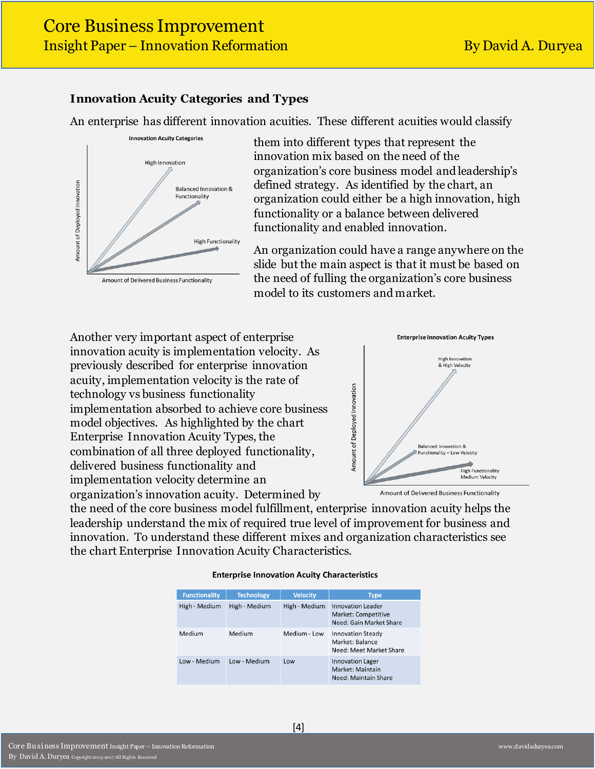#### **Innovation Acuity Categories and Types**

An enterprise has different innovation acuities. These different acuities would classify



them into different types that represent the innovation mix based on the need of the organization's core business model and leadership's defined strategy. As identified by the chart, an organization could either be a high innovation, high functionality or a balance between delivered functionality and enabled innovation.

An organization could have a range anywhere on the slide but the main aspect is that it must be based on the need of fulling the organization's core business model to its customers and market.

Another very important aspect of enterprise innovation acuity is implementation velocity. As previously described for enterprise innovation acuity, implementation velocity is the rate of technology vs business functionality implementation absorbed to achieve core business model objectives. As highlighted by the chart Enterprise Innovation Acuity Types, the combination of all three deployed functionality, delivered business functionality and implementation velocity determine an organization's innovation acuity. Determined by



Amount of Delivered Business Functionality

the need of the core business model fulfillment, enterprise innovation acuity helps the leadership understand the mix of required true level of improvement for business and innovation. To understand these different mixes and organization characteristics see the chart Enterprise Innovation Acuity Characteristics.

#### **Enterprise Innovation Acuity Characteristics**

| <b>Functionality</b> | <b>Technology</b> | <b>Velocity</b> | <b>Type</b>                                                                |
|----------------------|-------------------|-----------------|----------------------------------------------------------------------------|
| High - Medium        | High - Medium     | High - Medium   | <b>Innovation Leader</b><br>Market: Competitive<br>Need: Gain Market Share |
| Medium               | Medium            | Medium - Low    | <b>Innovation Steady</b><br>Market: Balance<br>Need: Meet Market Share     |
| Low - Medium         | Low - Medium      | Low             | <b>Innovation Lager</b><br>Market: Maintain<br>Need: Maintain Share        |